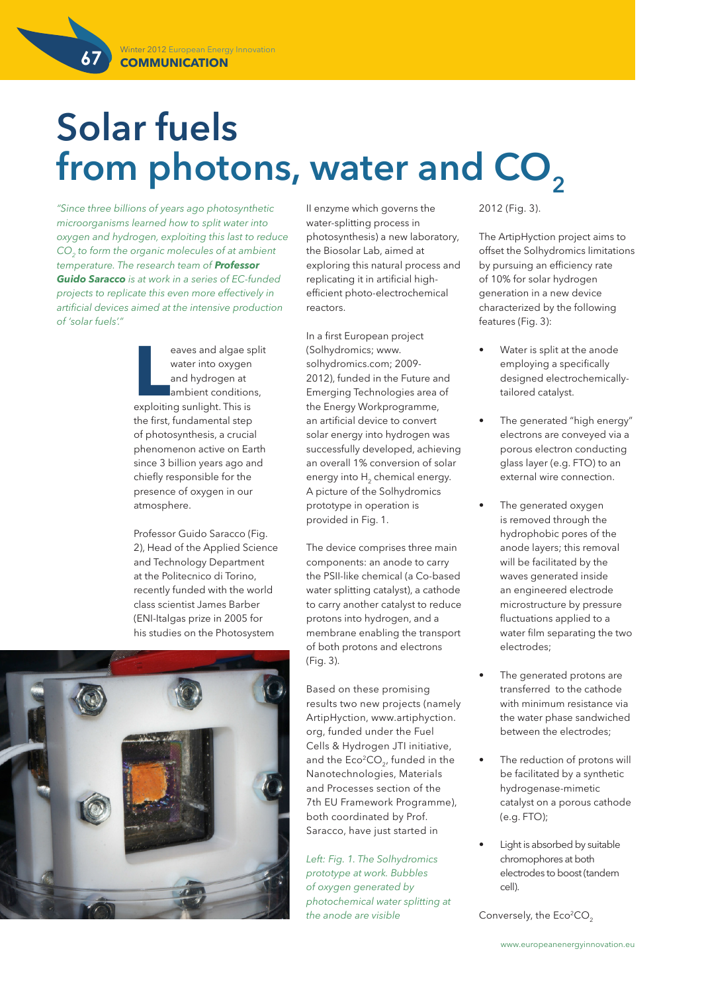**67**

# **Solar fuels**  from photons, water and CO<sub>2</sub>

*"Since three billions of years ago photosynthetic microorganisms learned how to split water into oxygen and hydrogen, exploiting this last to reduce CO2 to form the organic molecules of at ambient temperature. The research team of Professor Guido Saracco is at work in a series of EC-funded projects to replicate this even more effectively in artificial devices aimed at the intensive production of 'solar fuels'."*

> **LEAU EXECUTE:** Explored and hydrogen at ambient condition exploiting sunlight. This is eaves and algae split water into oxygen and hydrogen at ambient conditions, the first, fundamental step of photosynthesis, a crucial phenomenon active on Earth since 3 billion years ago and chiefly responsible for the presence of oxygen in our atmosphere.

Professor Guido Saracco (Fig. 2), Head of the Applied Science and Technology Department at the Politecnico di Torino, recently funded with the world class scientist James Barber (ENI-Italgas prize in 2005 for his studies on the Photosystem



II enzyme which governs the water-splitting process in photosynthesis) a new laboratory, the Biosolar Lab, aimed at exploring this natural process and replicating it in artificial highefficient photo-electrochemical reactors.

In a first European project (Solhydromics; www. solhydromics.com; 2009- 2012), funded in the Future and Emerging Technologies area of the Energy Workprogramme, an artificial device to convert solar energy into hydrogen was successfully developed, achieving an overall 1% conversion of solar energy into H<sub>2</sub> chemical energy. A picture of the Solhydromics prototype in operation is provided in Fig. 1.

The device comprises three main components: an anode to carry the PSII-like chemical (a Co-based water splitting catalyst), a cathode to carry another catalyst to reduce protons into hydrogen, and a membrane enabling the transport of both protons and electrons (Fig. 3).

Based on these promising results two new projects (namely ArtipHyction, www.artiphyction. org, funded under the Fuel Cells & Hydrogen JTI initiative, and the  $Eco<sup>2</sup>CO<sub>2</sub>$ , funded in the Nanotechnologies, Materials and Processes section of the 7th EU Framework Programme), both coordinated by Prof. Saracco, have just started in

*Left: Fig. 1. The Solhydromics prototype at work. Bubbles of oxygen generated by photochemical water splitting at the anode are visible*

2012 (Fig. 3).

The ArtipHyction project aims to offset the Solhydromics limitations by pursuing an efficiency rate of 10% for solar hydrogen generation in a new device characterized by the following features (Fig. 3):

- Water is split at the anode employing a specifically designed electrochemicallytailored catalyst.
- The generated "high energy" electrons are conveyed via a porous electron conducting glass layer (e.g. FTO) to an external wire connection.
- The generated oxygen is removed through the hydrophobic pores of the anode layers; this removal will be facilitated by the waves generated inside an engineered electrode microstructure by pressure fluctuations applied to a water film separating the two electrodes;
- The generated protons are transferred to the cathode with minimum resistance via the water phase sandwiched between the electrodes;
- The reduction of protons will be facilitated by a synthetic hydrogenase-mimetic catalyst on a porous cathode (e.g. FTO);
- Light is absorbed by suitable chromophores at both electrodes to boost (tandem cell).

Conversely, the Eco<sup>2</sup>CO<sub>2</sub>